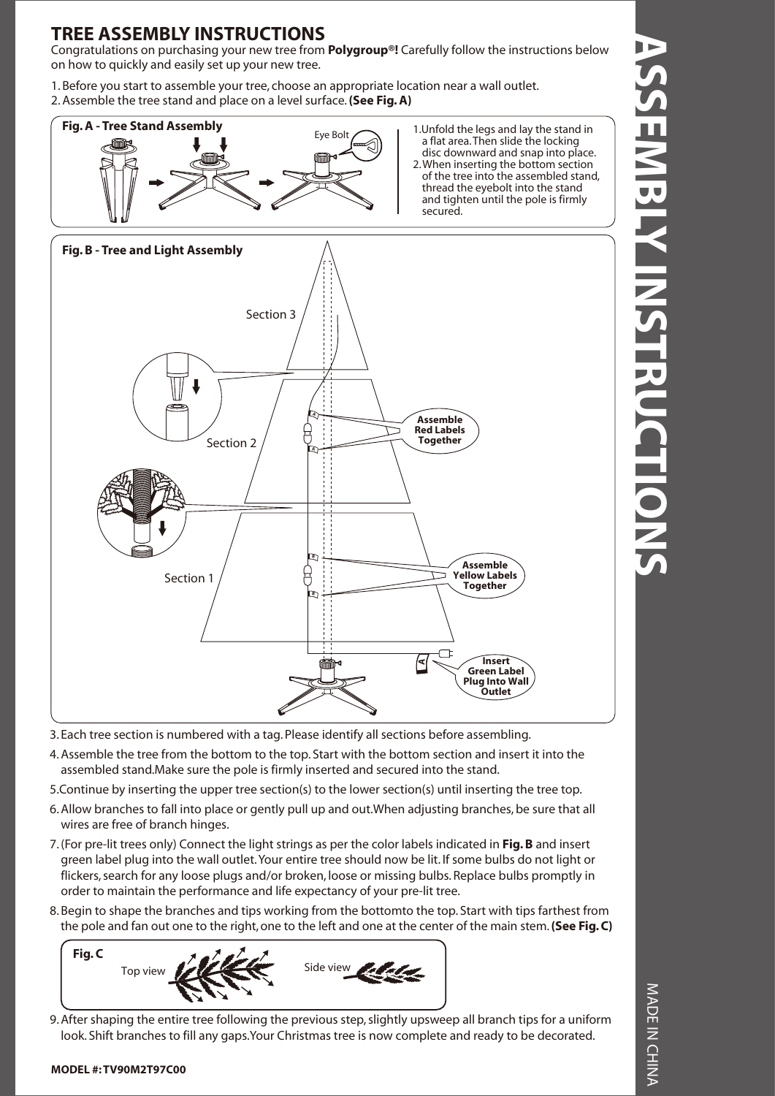### **TREE ASSEMBLY INSTRUCTIONS**

Congratulations on purchasing your new tree from **Polygroup®!** Carefully follow the instructions below on how to quickly and easily set up your new tree.

1. Before you start to assemble your tree, choose an appropriate location near a wall outlet. 2. Assemble the tree stand and place on a level surface. **(See Fig. A)**



a flat area. Then slide the locking disc downward and snap into place. 2. When inserting the bottom section of the tree into the assembled stand, thread the eyebolt into the stand and tighten until the pole is firmly secured.



- 3. Each tree section is numbered with a tag. Please identify all sections before assembling.
- 4. Assemble the tree from the bottom to the top. Start with the bottom section and insert it into the assembled stand.Make sure the pole is firmly inserted and secured into the stand.
- 5.Continue by inserting the upper tree section(s) to the lower section(s) until inserting the tree top.
- 6. Allow branches to fall into place or gently pull up and out.When adjusting branches, be sure that all wires are free of branch hinges.
- 7. (For pre-lit trees only) Connect the light strings as per the color labels indicated in **Fig. B** and insert green label plug into the wall outlet. Your entire tree should now be lit. If some bulbs do not light or flickers, search for any loose plugs and/or broken, loose or missing bulbs. Replace bulbs promptly in order to maintain the performance and life expectancy of your pre-lit tree.
- 8. Begin to shape the branches and tips working from the bottomto the top. Start with tips farthest from the pole and fan out one to the right, one to the left and one at the center of the main stem. **(See Fig. C)**



9. After shaping the entire tree following the previous step, slightly upsweep all branch tips for a uniform look. Shift branches to fill any gaps.Your Christmas tree is now complete and ready to be decorated.